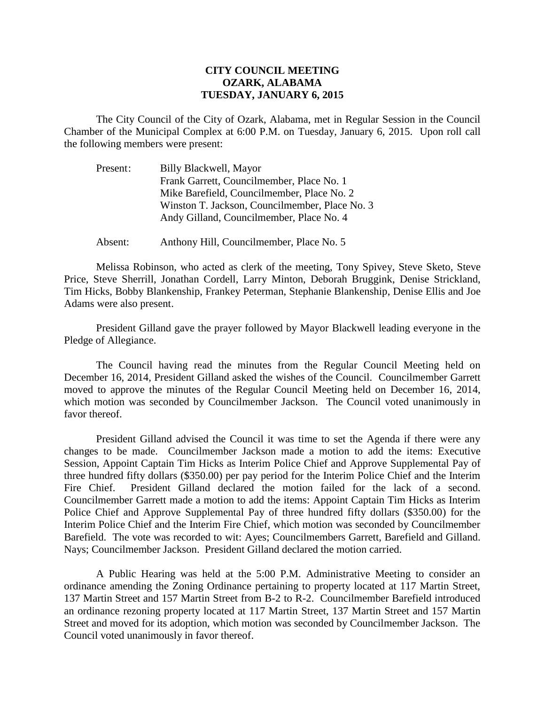## **CITY COUNCIL MEETING OZARK, ALABAMA TUESDAY, JANUARY 6, 2015**

The City Council of the City of Ozark, Alabama, met in Regular Session in the Council Chamber of the Municipal Complex at 6:00 P.M. on Tuesday, January 6, 2015. Upon roll call the following members were present:

| Present: | Billy Blackwell, Mayor                         |
|----------|------------------------------------------------|
|          | Frank Garrett, Councilmember, Place No. 1      |
|          | Mike Barefield, Councilmember, Place No. 2     |
|          | Winston T. Jackson, Councilmember, Place No. 3 |
|          | Andy Gilland, Councilmember, Place No. 4       |
|          |                                                |

Absent: Anthony Hill, Councilmember, Place No. 5

Melissa Robinson, who acted as clerk of the meeting, Tony Spivey, Steve Sketo, Steve Price, Steve Sherrill, Jonathan Cordell, Larry Minton, Deborah Bruggink, Denise Strickland, Tim Hicks, Bobby Blankenship, Frankey Peterman, Stephanie Blankenship, Denise Ellis and Joe Adams were also present.

President Gilland gave the prayer followed by Mayor Blackwell leading everyone in the Pledge of Allegiance.

The Council having read the minutes from the Regular Council Meeting held on December 16, 2014, President Gilland asked the wishes of the Council. Councilmember Garrett moved to approve the minutes of the Regular Council Meeting held on December 16, 2014, which motion was seconded by Councilmember Jackson. The Council voted unanimously in favor thereof.

President Gilland advised the Council it was time to set the Agenda if there were any changes to be made. Councilmember Jackson made a motion to add the items: Executive Session, Appoint Captain Tim Hicks as Interim Police Chief and Approve Supplemental Pay of three hundred fifty dollars (\$350.00) per pay period for the Interim Police Chief and the Interim Fire Chief. President Gilland declared the motion failed for the lack of a second. Councilmember Garrett made a motion to add the items: Appoint Captain Tim Hicks as Interim Police Chief and Approve Supplemental Pay of three hundred fifty dollars (\$350.00) for the Interim Police Chief and the Interim Fire Chief, which motion was seconded by Councilmember Barefield. The vote was recorded to wit: Ayes; Councilmembers Garrett, Barefield and Gilland. Nays; Councilmember Jackson. President Gilland declared the motion carried.

A Public Hearing was held at the 5:00 P.M. Administrative Meeting to consider an ordinance amending the Zoning Ordinance pertaining to property located at 117 Martin Street, 137 Martin Street and 157 Martin Street from B-2 to R-2. Councilmember Barefield introduced an ordinance rezoning property located at 117 Martin Street, 137 Martin Street and 157 Martin Street and moved for its adoption, which motion was seconded by Councilmember Jackson. The Council voted unanimously in favor thereof.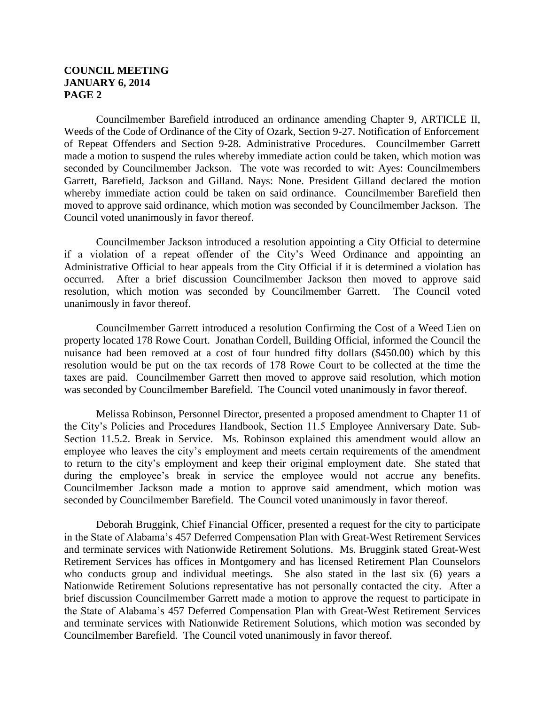## **COUNCIL MEETING JANUARY 6, 2014 PAGE 2**

Councilmember Barefield introduced an ordinance amending Chapter 9, ARTICLE II, Weeds of the Code of Ordinance of the City of Ozark, Section 9-27. Notification of Enforcement of Repeat Offenders and Section 9-28. Administrative Procedures. Councilmember Garrett made a motion to suspend the rules whereby immediate action could be taken, which motion was seconded by Councilmember Jackson. The vote was recorded to wit: Ayes: Councilmembers Garrett, Barefield, Jackson and Gilland. Nays: None. President Gilland declared the motion whereby immediate action could be taken on said ordinance. Councilmember Barefield then moved to approve said ordinance, which motion was seconded by Councilmember Jackson. The Council voted unanimously in favor thereof.

Councilmember Jackson introduced a resolution appointing a City Official to determine if a violation of a repeat offender of the City's Weed Ordinance and appointing an Administrative Official to hear appeals from the City Official if it is determined a violation has occurred. After a brief discussion Councilmember Jackson then moved to approve said resolution, which motion was seconded by Councilmember Garrett. The Council voted unanimously in favor thereof.

Councilmember Garrett introduced a resolution Confirming the Cost of a Weed Lien on property located 178 Rowe Court. Jonathan Cordell, Building Official, informed the Council the nuisance had been removed at a cost of four hundred fifty dollars (\$450.00) which by this resolution would be put on the tax records of 178 Rowe Court to be collected at the time the taxes are paid. Councilmember Garrett then moved to approve said resolution, which motion was seconded by Councilmember Barefield. The Council voted unanimously in favor thereof.

Melissa Robinson, Personnel Director, presented a proposed amendment to Chapter 11 of the City's Policies and Procedures Handbook, Section 11.5 Employee Anniversary Date. Sub-Section 11.5.2. Break in Service. Ms. Robinson explained this amendment would allow an employee who leaves the city's employment and meets certain requirements of the amendment to return to the city's employment and keep their original employment date. She stated that during the employee's break in service the employee would not accrue any benefits. Councilmember Jackson made a motion to approve said amendment, which motion was seconded by Councilmember Barefield. The Council voted unanimously in favor thereof.

Deborah Bruggink, Chief Financial Officer, presented a request for the city to participate in the State of Alabama's 457 Deferred Compensation Plan with Great-West Retirement Services and terminate services with Nationwide Retirement Solutions. Ms. Bruggink stated Great-West Retirement Services has offices in Montgomery and has licensed Retirement Plan Counselors who conducts group and individual meetings. She also stated in the last six (6) years a Nationwide Retirement Solutions representative has not personally contacted the city. After a brief discussion Councilmember Garrett made a motion to approve the request to participate in the State of Alabama's 457 Deferred Compensation Plan with Great-West Retirement Services and terminate services with Nationwide Retirement Solutions, which motion was seconded by Councilmember Barefield. The Council voted unanimously in favor thereof.